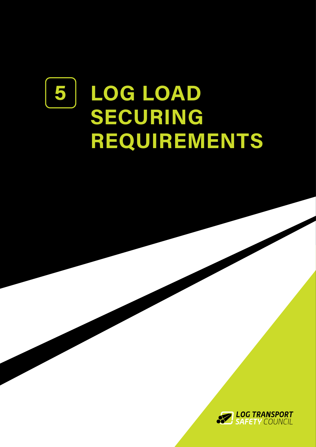# **LOG LOAD SECURING REQUIREMENTS 5**

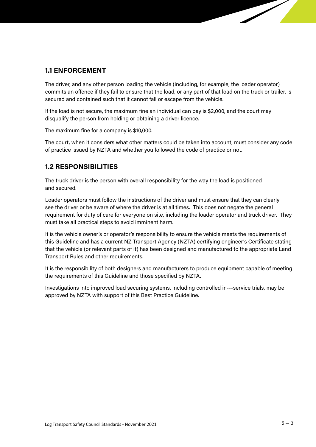### **1.1 ENFORCEMENT**

The driver, and any other person loading the vehicle (including, for example, the loader operator) commits an ofence if they fail to ensure that the load, or any part of that load on the truck or trailer, is secured and contained such that it cannot fall or escape from the vehicle.

If the load is not secure, the maximum fine an individual can pay is \$2,000, and the court may disqualify the person from holding or obtaining a driver licence.

The maximum fine for a company is \$10,000.

The court, when it considers what other matters could be taken into account, must consider any code of practice issued by NZTA and whether you followed the code of practice or not.

# **1.2 RESPONSIBILITIES**

The truck driver is the person with overall responsibility for the way the load is positioned and secured.

Loader operators must follow the instructions of the driver and must ensure that they can clearly see the driver or be aware of where the driver is at all times. This does not negate the general requirement for duty of care for everyone on site, including the loader operator and truck driver. They must take all practical steps to avoid imminent harm.

It is the vehicle owner's or operator's responsibility to ensure the vehicle meets the requirements of this Guideline and has a current NZ Transport Agency (NZTA) certifying engineer's Certificate stating that the vehicle (or relevant parts of it) has been designed and manufactured to the appropriate Land Transport Rules and other requirements.

It is the responsibility of both designers and manufacturers to produce equipment capable of meeting the requirements of this Guideline and those specified by NZTA.

Investigations into improved load securing systems, including controlled in-‐-service trials, may be approved by NZTA with support of this Best Practice Guideline.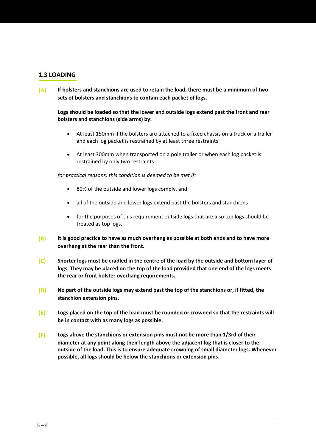### **1.3 LOADING**

**(A) If bolsters and stanchions are used to retain the load, there must be a minimum of two sets of bolsters and stanchions to contain each packet of logs.** 

**Logs should be loaded so that the lower and outside logs extend past the front and rear bolsters and stanchions (side arms) by:** 

- At least 150mm if the bolsters are attached to a fixed chassis on a truck or a trailer and each log packet is restrained by at least three restraints.
- At least 300mm when transported on a pole trailer or when each log packet is restrained by only two restraints.

*for practical reasons, this condition is deemed to be met if:* 

- 80% of the outside and lower logs comply, and
- all of the outside and lower logs extend past the bolsters and stanchions
- for the purposes of this requirement outside logs that are also top logs should be treated as top logs.
- **(B) It is good practice to have as much overhang as possible at both ends and to have more overhang at the rear than the front.**
- **(C) Shorter logs must be cradled in the centre of the load by the outside and bottom layer of logs. They may be placed on the top of the load provided that one end of the logs meets the rear or front bolster overhang requirements.**
- **(D) No part of the outside logs may extend past the top of the stanchions or, if fitted, the stanchion extension pins.**
- **(E) Logs placed on the top of the load must be rounded or crowned so that the restraints will be in contact with as many logs as possible.**
- **(F) Logs above the stanchions or extension pins must not be more than 1/3rd of their diameter at any point along their length above the adjacent log that is closer to the outside of the load. This is to ensure adequate crowning of small diameter logs. Whenever possible, all logs should be below the stanchions or extension pins.**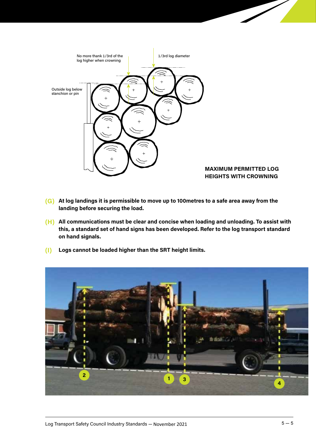

#### **MAXIMUM PERMITTED LOG HEIGHTS WITH CROWNING**

- **(G) At log landings it is permissible to move up to 100metres to a safe area away from the landing before securing the load.**
- **(H) All communications must be clear and concise when loading and unloading. To assist with this, a standard set of hand signs has been developed. Refer to the log transport standard on hand signals.**
- **(I) Logs cannot be loaded higher than the SRT height limits.**

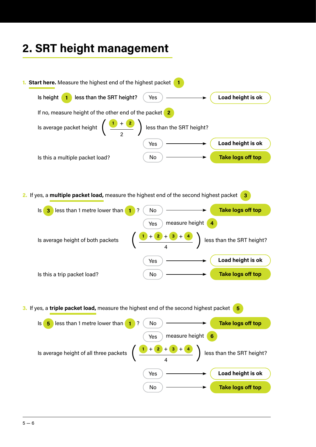# **2. SRT height management**

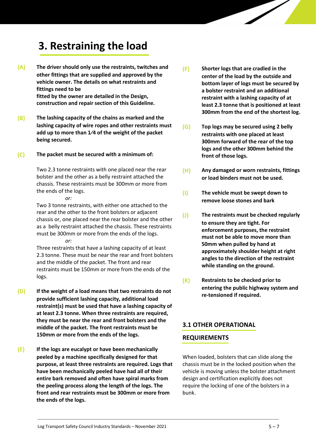# **3. Restraining the load**

- **(A) The driver should only use the restraints, twitches and other fittings that are supplied and approved by the vehicle owner. The details on what restraints and fittings need to be fitted by the owner are detailed in the Design, construction and repair section of this Guideline.**
- **(B) The lashing capacity of the chains as marked and the lashing capacity of wire ropes and other restraints must add up to more than 1⁄4 of the weight of the packet being secured.**
- **(C) The packet must be secured with a minimum of:**

Two 2.3 tonne restraints with one placed near the rear bolster and the other as a belly restraint attached the chassis. These restraints must be 300mm or more from the ends of the logs.

*or:*  Two 3 tonne restraints, with either one attached to the rear and the other to the front bolsters or adjacent chassis or, one placed near the rear bolster and the other as a belly restraint attached the chassis. These restraints must be 300mm or more from the ends of the logs. *or:* 

Three restraints that have a lashing capacity of at least 2.3 tonne. These must be near the rear and front bolsters and the middle of the packet. The front and rear restraints must be 150mm or more from the ends of the logs.

- **(D) If the weight of a load means that two restraints do not provide sufficient lashing capacity, additional load restraint(s) must be used that have a lashing capacity of at least 2.3 tonne. When three restraints are required, they must be near the rear and front bolsters and the middle of the packet. The front restraints must be 150mm or more from the ends of the logs.**
- **(E) If the logs are eucalypt or have been mechanically peeled by a machine specifically designed for that purpose, at least three restraints are required. Logs that have been mechanically peeled have had all of their entire bark removed and often have spiral marks from the peeling process along the length of the logs. The front and rear restraints must be 300mm or more from the ends of the logs.**
- **(F) Shorter logs that are cradled in the center of the load by the outside and bottom layer of logs must be secured by a bolster restraint and an additional restraint with a lashing capacity of at least 2.3 tonne that is positioned at least 300mm from the end of the shortest log.**
- **(G) Top logs may be secured using 2 belly restraints with one placed at least 300mm forward of the rear of the top logs and the other 300mm behind the front of those logs.**
- **(H) Any damaged or worn restraints, fittings or load binders must not be used.**
- **(I) The vehicle must be swept down to remove loose stones and bark**
- **(J) The restraints must be checked regularly to ensure they are tight. For enforcement purposes, the restraint must not be able to move more than 50mm when pulled by hand at approximately shoulder height at right angles to the direction of the restraint while standing on the ground.**
- **(K) Restraints to be checked prior to entering the public highway system and re-tensioned if required.**

#### **3.1 OTHER OPERATIONAL**

#### **REQUIREMENTS**

When loaded, bolsters that can slide along the chassis must be in the locked position when the vehicle is moving unless the bolster attachment design and certification explicitly does not require the locking of one of the bolsters in a bunk.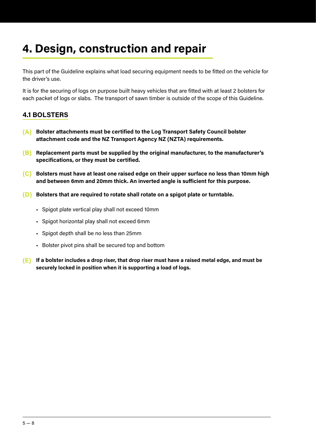# **4. Design, construction and repair**

This part of the Guideline explains what load securing equipment needs to be fitted on the vehicle for the driver's use.

It is for the securing of logs on purpose built heavy vehicles that are fitted with at least 2 bolsters for each packet of logs or slabs. The transport of sawn timber is outside of the scope of this Guideline.

# **4.1 BOLSTERS**

- **(A) Bolster attachments must be certified to the Log Transport Safety Council bolster attachment code and the NZ Transport Agency NZ (NZTA) requirements.**
- **(B) Replacement parts must be supplied by the original manufacturer, to the manufacturer's specifications, or they must be certified.**
- **(C) Bolsters must have at least one raised edge on their upper surface no less than 10mm high and between 6mm and 20mm thick. An inverted angle is suficient for this purpose.**
- **(D) Bolsters that are required to rotate shall rotate on a spigot plate or turntable.**
	- Spigot plate vertical play shall not exceed 10mm
	- Spigot horizontal play shall not exceed 6mm
	- Spigot depth shall be no less than 25mm
	- Bolster pivot pins shall be secured top and bottom
- **(E) If a bolster includes a drop riser, that drop riser must have a raised metal edge, and must be securely locked in position when it is supporting a load of logs.**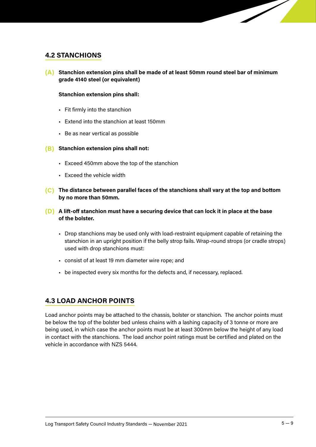#### **4.2 STANCHIONS**

**(A) Stanchion extension pins shall be made of at least 50mm round steel bar of minimum grade 4140 steel (or equivalent)**

#### **Stanchion extension pins shall:**

- Fit firmly into the stanchion
- Extend into the stanchion at least 150mm
- Be as near vertical as possible
- **(B) Stanchion extension pins shall not:**
	- Exceed 450mm above the top of the stanchion
	- Exceed the vehicle width
- **(C) The distance between parallel faces of the stanchions shall vary at the top and bottom by no more than 50mm.**
- **(D) A lift-of stanchion must have a securing device that can lock it in place at the base of the bolster.**
	- Drop stanchions may be used only with load-restraint equipment capable of retaining the stanchion in an upright position if the belly strop fails. Wrap-round strops (or cradle strops) used with drop stanchions must:
	- consist of at least 19 mm diameter wire rope; and
	- be inspected every six months for the defects and, if necessary, replaced.

### **4.3 LOAD ANCHOR POINTS**

Load anchor points may be attached to the chassis, bolster or stanchion. The anchor points must be below the top of the bolster bed unless chains with a lashing capacity of 3 tonne or more are being used, in which case the anchor points must be at least 300mm below the height of any load in contact with the stanchions. The load anchor point ratings must be certified and plated on the vehicle in accordance with NZS 5444.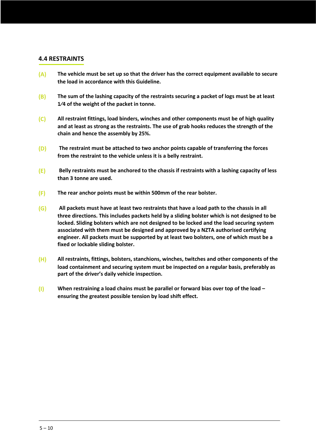#### **4.4 RESTRAINTS**

- **(A) The vehicle must be set up so that the driver has the correct equipment available to secure the load in accordance with this Guideline.**
- **(B) The sum of the lashing capacity of the restraints securing a packet of logs must be at least 1⁄4 of the weight of the packet in tonne.**
- **(C) All restraint fittings, load binders, winches and other components must be of high quality and at least as strong as the restraints. The use of grab hooks reduces the strength of the chain and hence the assembly by 25%.**
- **(D) The restraint must be attached to two anchor points capable of transferring the forces from the restraint to the vehicle unless it is a belly restraint.**
- **(E) Belly restraints must be anchored to the chassis if restraints with a lashing capacity of less than 3 tonne are used.**
- **(F) The rear anchor points must be within 500mm of the rear bolster.**
- **(G) All packets must have at least two restraints that have a load path to the chassis in all three directions. This includes packets held by a sliding bolster which is not designed to be locked. Sliding bolsters which are not designed to be locked and the load securing system associated with them must be designed and approved by a NZTA authorised certifying engineer. All packets must be supported by at least two bolsters, one of which must be a fixed or lockable sliding bolster.**
- **(H) All restraints, fittings, bolsters, stanchions, winches, twitches and other components of the load containment and securing system must be inspected on a regular basis, preferably as part of the driver's daily vehicle inspection.**
- **(I) When restraining a load chains must be parallel or forward bias over top of the load – ensuring the greatest possible tension by load shift effect.**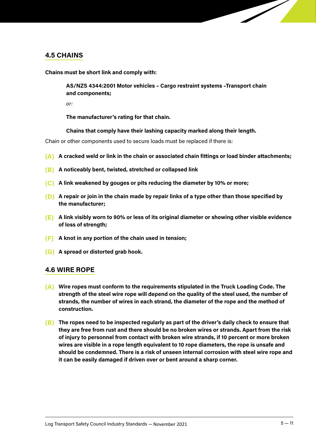#### **4.5 CHAINS**

**Chains must be short link and comply with:**

**AS/NZS 4344:2001 Motor vehicles – Cargo restraint systems –Transport chain and components;** 

*or:*

**The manufacturer's rating for that chain.**

#### **Chains that comply have their lashing capacity marked along their length.**

Chain or other components used to secure loads must be replaced if there is:

- **(A) A cracked weld or link in the chain or associated chain fittings or load binder attachments;**
- **(B) A noticeably bent, twisted, stretched or collapsed link**
- **(C) A link weakened by gouges or pits reducing the diameter by 10% or more;**
- **(D) A repair or join in the chain made by repair links of a type other than those specified by the manufacturer;**
- **(E) A link visibly worn to 90% or less of its original diameter or showing other visible evidence of loss of strength;**
- **(F) A knot in any portion of the chain used in tension;**
- **(G) A spread or distorted grab hook.**

#### **4.6 WIRE ROPE**

- **(A) Wire ropes must conform to the requirements stipulated in the Truck Loading Code. The strength of the steel wire rope will depend on the quality of the steel used, the number of strands, the number of wires in each strand, the diameter of the rope and the method of construction.**
- **(B) The ropes need to be inspected regularly as part of the driver's daily check to ensure that they are free from rust and there should be no broken wires or strands. Apart from the risk of injury to personnel from contact with broken wire strands, if 10 percent or more broken wires are visible in a rope length equivalent to 10 rope diameters, the rope is unsafe and should be condemned. There is a risk of unseen internal corrosion with steel wire rope and it can be easily damaged if driven over or bent around a sharp corner.**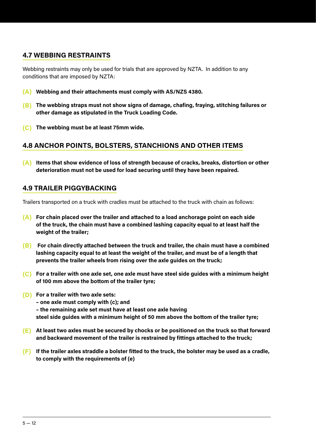# **4.7 WEBBING RESTRAINTS**

Webbing restraints may only be used for trials that are approved by NZTA. In addition to any conditions that are imposed by NZTA:

- **(A) Webbing and their attachments must comply with AS/NZS 4380.**
- **(B) The webbing straps must not show signs of damage, chafing, fraying, stitching failures or other damage as stipulated in the Truck Loading Code.**
- **(C) The webbing must be at least 75mm wide.**

# **4.8 ANCHOR POINTS, BOLSTERS, STANCHIONS AND OTHER ITEMS**

**(A) Items that show evidence of loss of strength because of cracks, breaks, distortion or other deterioration must not be used for load securing until they have been repaired.**

# **4.9 TRAILER PIGGYBACKING**

Trailers transported on a truck with cradles must be attached to the truck with chain as follows:

- **(A) For chain placed over the trailer and attached to a load anchorage point on each side of the truck, the chain must have a combined lashing capacity equal to at least half the weight of the trailer;**
- **(B) For chain directly attached between the truck and trailer, the chain must have a combined lashing capacity equal to at least the weight of the trailer, and must be of a length that prevents the trailer wheels from rising over the axle guides on the truck;**
- **(C) For a trailer with one axle set, one axle must have steel side guides with a minimum height of 100 mm above the bottom of the trailer tyre;**
- **(D) For a trailer with two axle sets:** 
	- **one axle must comply with (c); and**
	- **the remaining axle set must have at least one axle having**
	- **steel side guides with a minimum height of 50 mm above the bottom of the trailer tyre;**
- **(E) At least two axles must be secured by chocks or be positioned on the truck so that forward and backward movement of the trailer is restrained by fittings attached to the truck;**
- **(F) If the trailer axles straddle a bolster fitted to the truck, the bolster may be used as a cradle, to comply with the requirements of (e)**